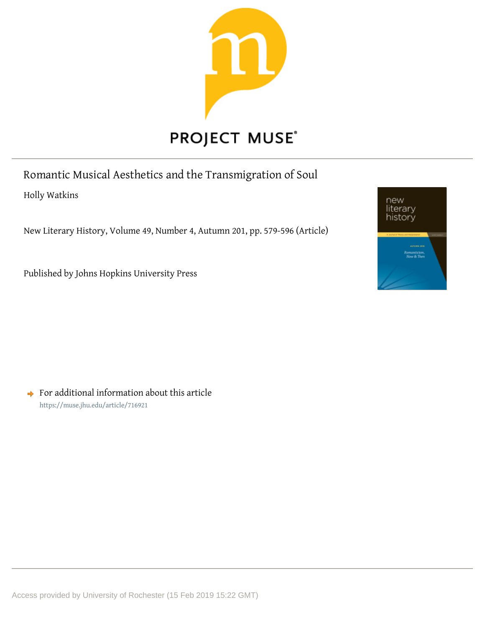

Romantic Musical Aesthetics and the Transmigration of Soul

Holly Watkins

New Literary History, Volume 49, Number 4, Autumn 201, pp. 579-596 (Article)

Published by Johns Hopkins University Press

 $\rightarrow$  For additional information about this article <https://muse.jhu.edu/article/716921>

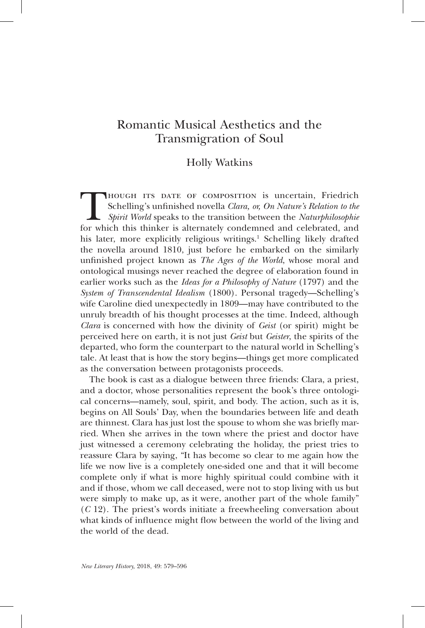# Romantic Musical Aesthetics and the Transmigration of Soul

## Holly Watkins

Though ITS DATE OF COMPOSITION is uncertain, Friedrich<br>Schelling's unfinished novella Clara, or, On Nature's Relation to the<br>Spirit World speaks to the transition between the Naturphilosophie<br>for which this thinker is alte Schelling's unfinished novella *Clara, or, On Nature's Relation to the Spirit World* speaks to the transition between the *Naturphilosophie* for which this thinker is alternately condemned and celebrated, and his later, more explicitly religious writings.<sup>1</sup> Schelling likely drafted the novella around 1810, just before he embarked on the similarly unfinished project known as *The Ages of the World*, whose moral and ontological musings never reached the degree of elaboration found in earlier works such as the *Ideas for a Philosophy of Nature* (1797) and the *System of Transcendental Idealism* (1800). Personal tragedy—Schelling's wife Caroline died unexpectedly in 1809—may have contributed to the unruly breadth of his thought processes at the time. Indeed, although *Clara* is concerned with how the divinity of *Geist* (or spirit) might be perceived here on earth, it is not just *Geist* but *Geister*, the spirits of the departed, who form the counterpart to the natural world in Schelling's tale. At least that is how the story begins—things get more complicated as the conversation between protagonists proceeds.

The book is cast as a dialogue between three friends: Clara, a priest, and a doctor, whose personalities represent the book's three ontological concerns—namely, soul, spirit, and body. The action, such as it is, begins on All Souls' Day, when the boundaries between life and death are thinnest. Clara has just lost the spouse to whom she was briefly married. When she arrives in the town where the priest and doctor have just witnessed a ceremony celebrating the holiday, the priest tries to reassure Clara by saying, "It has become so clear to me again how the life we now live is a completely one-sided one and that it will become complete only if what is more highly spiritual could combine with it and if those, whom we call deceased, were not to stop living with us but were simply to make up, as it were, another part of the whole family" (*C* 12). The priest's words initiate a freewheeling conversation about what kinds of influence might flow between the world of the living and the world of the dead.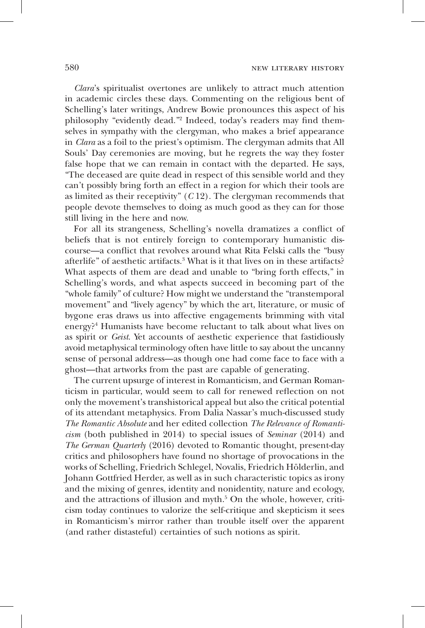*Clara*'s spiritualist overtones are unlikely to attract much attention in academic circles these days. Commenting on the religious bent of Schelling's later writings, Andrew Bowie pronounces this aspect of his philosophy "evidently dead."2 Indeed, today's readers may find themselves in sympathy with the clergyman, who makes a brief appearance in *Clara* as a foil to the priest's optimism. The clergyman admits that All Souls' Day ceremonies are moving, but he regrets the way they foster false hope that we can remain in contact with the departed. He says, "The deceased are quite dead in respect of this sensible world and they can't possibly bring forth an effect in a region for which their tools are as limited as their receptivity" (*C* 12). The clergyman recommends that people devote themselves to doing as much good as they can for those still living in the here and now.

For all its strangeness, Schelling's novella dramatizes a conflict of beliefs that is not entirely foreign to contemporary humanistic discourse—a conflict that revolves around what Rita Felski calls the "busy afterlife" of aesthetic artifacts.<sup>3</sup> What is it that lives on in these artifacts? What aspects of them are dead and unable to "bring forth effects," in Schelling's words, and what aspects succeed in becoming part of the "whole family" of culture? How might we understand the "transtemporal movement" and "lively agency" by which the art, literature, or music of bygone eras draws us into affective engagements brimming with vital energy?<sup>4</sup> Humanists have become reluctant to talk about what lives on as spirit or *Geist*. Yet accounts of aesthetic experience that fastidiously avoid metaphysical terminology often have little to say about the uncanny sense of personal address—as though one had come face to face with a ghost—that artworks from the past are capable of generating.

The current upsurge of interest in Romanticism, and German Romanticism in particular, would seem to call for renewed reflection on not only the movement's transhistorical appeal but also the critical potential of its attendant metaphysics. From Dalia Nassar's much-discussed study *The Romantic Absolute* and her edited collection *The Relevance of Romanticism* (both published in 2014) to special issues of *Seminar* (2014) and *The German Quarterly* (2016) devoted to Romantic thought, present-day critics and philosophers have found no shortage of provocations in the works of Schelling, Friedrich Schlegel, Novalis, Friedrich Hölderlin, and Johann Gottfried Herder, as well as in such characteristic topics as irony and the mixing of genres, identity and nonidentity, nature and ecology, and the attractions of illusion and myth.<sup>5</sup> On the whole, however, criticism today continues to valorize the self-critique and skepticism it sees in Romanticism's mirror rather than trouble itself over the apparent (and rather distasteful) certainties of such notions as spirit.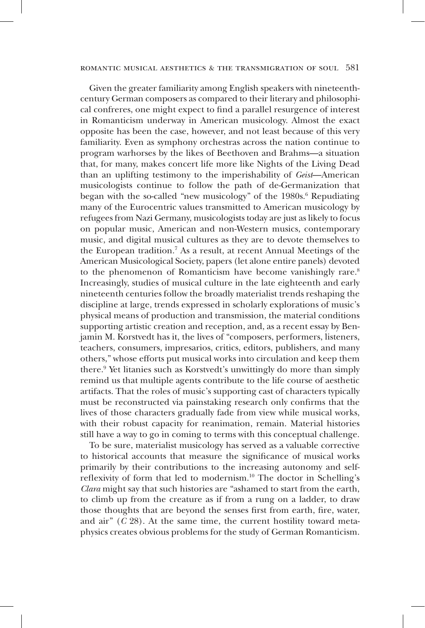Given the greater familiarity among English speakers with nineteenthcentury German composers as compared to their literary and philosophical confreres, one might expect to find a parallel resurgence of interest in Romanticism underway in American musicology. Almost the exact opposite has been the case, however, and not least because of this very familiarity. Even as symphony orchestras across the nation continue to program warhorses by the likes of Beethoven and Brahms—a situation that, for many, makes concert life more like Nights of the Living Dead than an uplifting testimony to the imperishability of *Geist*—American musicologists continue to follow the path of de-Germanization that began with the so-called "new musicology" of the 1980s.<sup>6</sup> Repudiating many of the Eurocentric values transmitted to American musicology by refugees from Nazi Germany, musicologists today are just as likely to focus on popular music, American and non-Western musics, contemporary music, and digital musical cultures as they are to devote themselves to the European tradition.7 As a result, at recent Annual Meetings of the American Musicological Society, papers (let alone entire panels) devoted to the phenomenon of Romanticism have become vanishingly rare.<sup>8</sup> Increasingly, studies of musical culture in the late eighteenth and early nineteenth centuries follow the broadly materialist trends reshaping the discipline at large, trends expressed in scholarly explorations of music's physical means of production and transmission, the material conditions supporting artistic creation and reception, and, as a recent essay by Benjamin M. Korstvedt has it, the lives of "composers, performers, listeners, teachers, consumers, impresarios, critics, editors, publishers, and many others," whose efforts put musical works into circulation and keep them there.9 Yet litanies such as Korstvedt's unwittingly do more than simply remind us that multiple agents contribute to the life course of aesthetic artifacts. That the roles of music's supporting cast of characters typically must be reconstructed via painstaking research only confirms that the lives of those characters gradually fade from view while musical works, with their robust capacity for reanimation, remain. Material histories still have a way to go in coming to terms with this conceptual challenge.

To be sure, materialist musicology has served as a valuable corrective to historical accounts that measure the significance of musical works primarily by their contributions to the increasing autonomy and selfreflexivity of form that led to modernism.10 The doctor in Schelling's *Clara* might say that such histories are "ashamed to start from the earth, to climb up from the creature as if from a rung on a ladder, to draw those thoughts that are beyond the senses first from earth, fire, water, and air" (*C* 28). At the same time, the current hostility toward metaphysics creates obvious problems for the study of German Romanticism.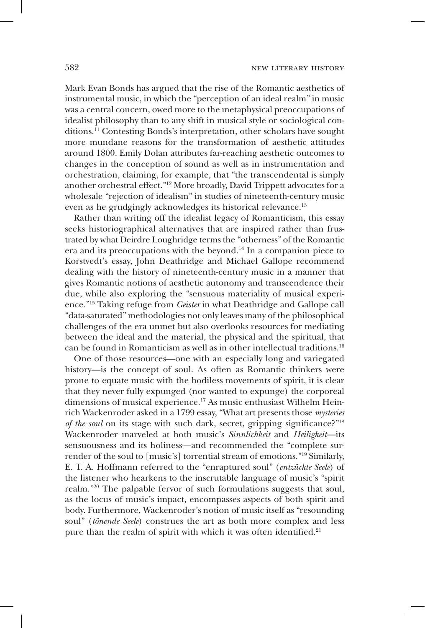Mark Evan Bonds has argued that the rise of the Romantic aesthetics of instrumental music, in which the "perception of an ideal realm" in music was a central concern, owed more to the metaphysical preoccupations of idealist philosophy than to any shift in musical style or sociological conditions.11 Contesting Bonds's interpretation, other scholars have sought more mundane reasons for the transformation of aesthetic attitudes around 1800. Emily Dolan attributes far-reaching aesthetic outcomes to changes in the conception of sound as well as in instrumentation and orchestration, claiming, for example, that "the transcendental is simply another orchestral effect."12 More broadly, David Trippett advocates for a wholesale "rejection of idealism" in studies of nineteenth-century music even as he grudgingly acknowledges its historical relevance.<sup>13</sup>

Rather than writing off the idealist legacy of Romanticism, this essay seeks historiographical alternatives that are inspired rather than frustrated by what Deirdre Loughridge terms the "otherness" of the Romantic era and its preoccupations with the beyond.14 In a companion piece to Korstvedt's essay, John Deathridge and Michael Gallope recommend dealing with the history of nineteenth-century music in a manner that gives Romantic notions of aesthetic autonomy and transcendence their due, while also exploring the "sensuous materiality of musical experience."15 Taking refuge from *Geister* in what Deathridge and Gallope call "data-saturated" methodologies not only leaves many of the philosophical challenges of the era unmet but also overlooks resources for mediating between the ideal and the material, the physical and the spiritual, that can be found in Romanticism as well as in other intellectual traditions.<sup>16</sup>

One of those resources—one with an especially long and variegated history—is the concept of soul. As often as Romantic thinkers were prone to equate music with the bodiless movements of spirit, it is clear that they never fully expunged (nor wanted to expunge) the corporeal dimensions of musical experience.17 As music enthusiast Wilhelm Heinrich Wackenroder asked in a 1799 essay, "What art presents those *mysteries of the soul* on its stage with such dark, secret, gripping significance?"<sup>18</sup> Wackenroder marveled at both music's *Sinnlichkeit* and *Heiligkeit*—its sensuousness and its holiness—and recommended the "complete surrender of the soul to [music's] torrential stream of emotions."19 Similarly, E. T. A. Hoffmann referred to the "enraptured soul" (*entzückte Seele*) of the listener who hearkens to the inscrutable language of music's "spirit realm."20 The palpable fervor of such formulations suggests that soul, as the locus of music's impact, encompasses aspects of both spirit and body. Furthermore, Wackenroder's notion of music itself as "resounding soul" (*tönende Seele*) construes the art as both more complex and less pure than the realm of spirit with which it was often identified.<sup>21</sup>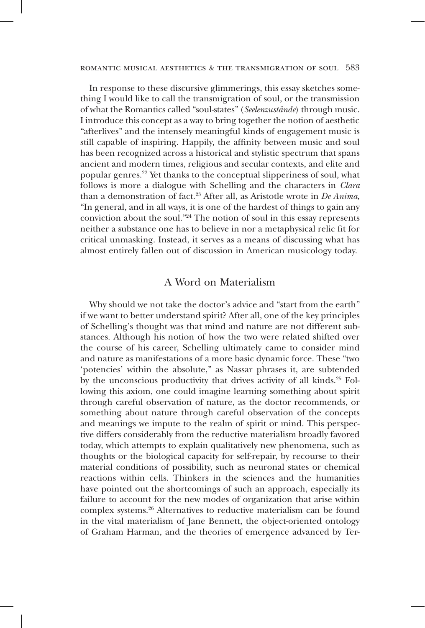In response to these discursive glimmerings, this essay sketches something I would like to call the transmigration of soul, or the transmission of what the Romantics called "soul-states" (*Seelenzustände*) through music. I introduce this concept as a way to bring together the notion of aesthetic "afterlives" and the intensely meaningful kinds of engagement music is still capable of inspiring. Happily, the affinity between music and soul has been recognized across a historical and stylistic spectrum that spans ancient and modern times, religious and secular contexts, and elite and popular genres.22 Yet thanks to the conceptual slipperiness of soul, what follows is more a dialogue with Schelling and the characters in *Clara* than a demonstration of fact.23 After all, as Aristotle wrote in *De Anima*, "In general, and in all ways, it is one of the hardest of things to gain any conviction about the soul."24 The notion of soul in this essay represents neither a substance one has to believe in nor a metaphysical relic fit for critical unmasking. Instead, it serves as a means of discussing what has almost entirely fallen out of discussion in American musicology today.

### A Word on Materialism

Why should we not take the doctor's advice and "start from the earth" if we want to better understand spirit? After all, one of the key principles of Schelling's thought was that mind and nature are not different substances. Although his notion of how the two were related shifted over the course of his career, Schelling ultimately came to consider mind and nature as manifestations of a more basic dynamic force. These "two 'potencies' within the absolute," as Nassar phrases it, are subtended by the unconscious productivity that drives activity of all kinds.<sup>25</sup> Following this axiom, one could imagine learning something about spirit through careful observation of nature, as the doctor recommends, or something about nature through careful observation of the concepts and meanings we impute to the realm of spirit or mind. This perspective differs considerably from the reductive materialism broadly favored today, which attempts to explain qualitatively new phenomena, such as thoughts or the biological capacity for self-repair, by recourse to their material conditions of possibility, such as neuronal states or chemical reactions within cells. Thinkers in the sciences and the humanities have pointed out the shortcomings of such an approach, especially its failure to account for the new modes of organization that arise within complex systems.26 Alternatives to reductive materialism can be found in the vital materialism of Jane Bennett, the object-oriented ontology of Graham Harman, and the theories of emergence advanced by Ter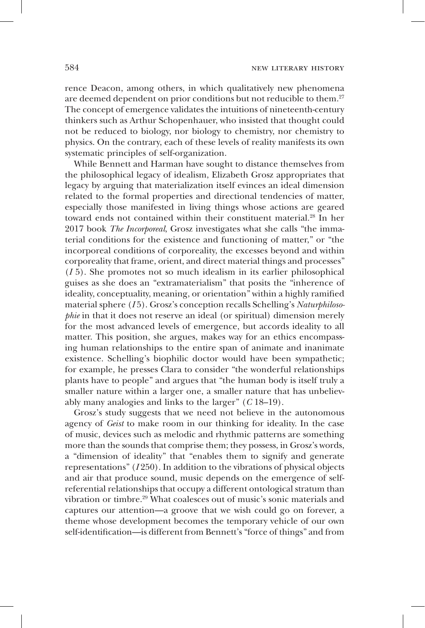rence Deacon, among others, in which qualitatively new phenomena are deemed dependent on prior conditions but not reducible to them.<sup>27</sup> The concept of emergence validates the intuitions of nineteenth-century thinkers such as Arthur Schopenhauer, who insisted that thought could not be reduced to biology, nor biology to chemistry, nor chemistry to physics. On the contrary, each of these levels of reality manifests its own systematic principles of self-organization.

While Bennett and Harman have sought to distance themselves from the philosophical legacy of idealism, Elizabeth Grosz appropriates that legacy by arguing that materialization itself evinces an ideal dimension related to the formal properties and directional tendencies of matter, especially those manifested in living things whose actions are geared toward ends not contained within their constituent material.<sup>28</sup> In her 2017 book *The Incorporeal*, Grosz investigates what she calls "the immaterial conditions for the existence and functioning of matter," or "the incorporeal conditions of corporeality, the excesses beyond and within corporeality that frame, orient, and direct material things and processes"  $(I\bar{5})$ . She promotes not so much idealism in its earlier philosophical guises as she does an "extramaterialism" that posits the "inherence of ideality, conceptuality, meaning, or orientation" within a highly ramified material sphere (*I* 5). Grosz's conception recalls Schelling's *Naturphilosophie* in that it does not reserve an ideal (or spiritual) dimension merely for the most advanced levels of emergence, but accords ideality to all matter. This position, she argues, makes way for an ethics encompassing human relationships to the entire span of animate and inanimate existence. Schelling's biophilic doctor would have been sympathetic; for example, he presses Clara to consider "the wonderful relationships plants have to people" and argues that "the human body is itself truly a smaller nature within a larger one, a smaller nature that has unbelievably many analogies and links to the larger" (*C* 18–19).

Grosz's study suggests that we need not believe in the autonomous agency of *Geist* to make room in our thinking for ideality. In the case of music, devices such as melodic and rhythmic patterns are something more than the sounds that comprise them; they possess, in Grosz's words, a "dimension of ideality" that "enables them to signify and generate representations" (*I* 250). In addition to the vibrations of physical objects and air that produce sound, music depends on the emergence of selfreferential relationships that occupy a different ontological stratum than vibration or timbre.29 What coalesces out of music's sonic materials and captures our attention—a groove that we wish could go on forever, a theme whose development becomes the temporary vehicle of our own self-identification—is different from Bennett's "force of things" and from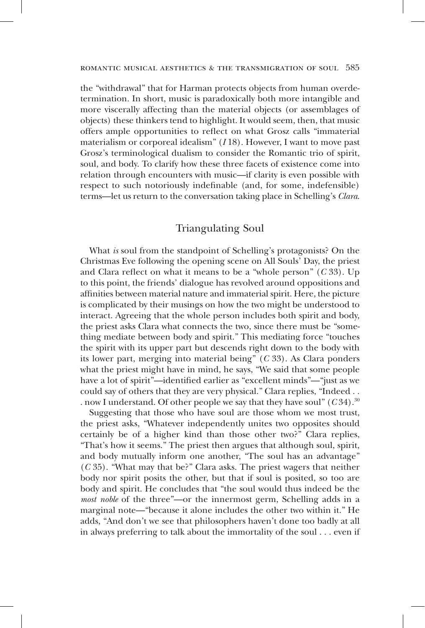the "withdrawal" that for Harman protects objects from human overdetermination. In short, music is paradoxically both more intangible and more viscerally affecting than the material objects (or assemblages of objects) these thinkers tend to highlight. It would seem, then, that music offers ample opportunities to reflect on what Grosz calls "immaterial materialism or corporeal idealism" (*I* 18). However, I want to move past Grosz's terminological dualism to consider the Romantic trio of spirit, soul, and body. To clarify how these three facets of existence come into relation through encounters with music—if clarity is even possible with respect to such notoriously indefinable (and, for some, indefensible) terms—let us return to the conversation taking place in Schelling's *Clara*.

## Triangulating Soul

What *is* soul from the standpoint of Schelling's protagonists? On the Christmas Eve following the opening scene on All Souls' Day, the priest and Clara reflect on what it means to be a "whole person" (*C* 33). Up to this point, the friends' dialogue has revolved around oppositions and affinities between material nature and immaterial spirit. Here, the picture is complicated by their musings on how the two might be understood to interact. Agreeing that the whole person includes both spirit and body, the priest asks Clara what connects the two, since there must be "something mediate between body and spirit." This mediating force "touches the spirit with its upper part but descends right down to the body with its lower part, merging into material being" (*C* 33). As Clara ponders what the priest might have in mind, he says, "We said that some people have a lot of spirit"—identified earlier as "excellent minds"—"just as we could say of others that they are very physical." Clara replies, "Indeed . . . now I understand. Of other people we say that they have soul"  $(C34)$ <sup>30</sup>

Suggesting that those who have soul are those whom we most trust, the priest asks, "Whatever independently unites two opposites should certainly be of a higher kind than those other two?" Clara replies, "That's how it seems." The priest then argues that although soul, spirit, and body mutually inform one another, "The soul has an advantage" (*C* 35). "What may that be?" Clara asks. The priest wagers that neither body nor spirit posits the other, but that if soul is posited, so too are body and spirit. He concludes that "the soul would thus indeed be the *most noble* of the three"—or the innermost germ, Schelling adds in a marginal note—"because it alone includes the other two within it." He adds, "And don't we see that philosophers haven't done too badly at all in always preferring to talk about the immortality of the soul . . . even if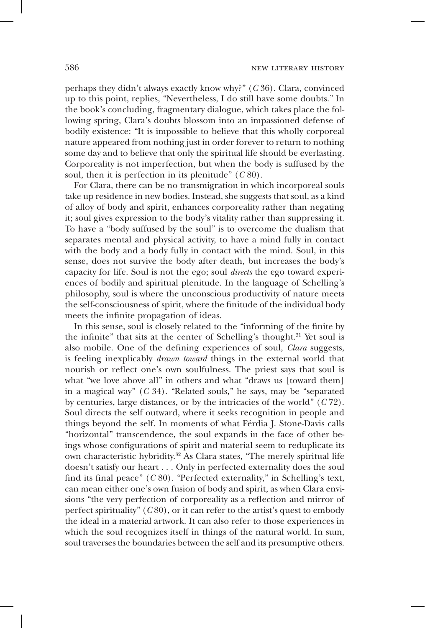perhaps they didn't always exactly know why?" (*C* 36). Clara, convinced up to this point, replies, "Nevertheless, I do still have some doubts." In the book's concluding, fragmentary dialogue, which takes place the following spring, Clara's doubts blossom into an impassioned defense of bodily existence: "It is impossible to believe that this wholly corporeal nature appeared from nothing just in order forever to return to nothing some day and to believe that only the spiritual life should be everlasting. Corporeality is not imperfection, but when the body is suffused by the soul, then it is perfection in its plenitude" (*C* 80).

For Clara, there can be no transmigration in which incorporeal souls take up residence in new bodies. Instead, she suggests that soul, as a kind of alloy of body and spirit, enhances corporeality rather than negating it; soul gives expression to the body's vitality rather than suppressing it. To have a "body suffused by the soul" is to overcome the dualism that separates mental and physical activity, to have a mind fully in contact with the body and a body fully in contact with the mind. Soul, in this sense, does not survive the body after death, but increases the body's capacity for life. Soul is not the ego; soul *directs* the ego toward experiences of bodily and spiritual plenitude. In the language of Schelling's philosophy, soul is where the unconscious productivity of nature meets the self-consciousness of spirit, where the finitude of the individual body meets the infinite propagation of ideas.

In this sense, soul is closely related to the "informing of the finite by the infinite" that sits at the center of Schelling's thought.<sup>31</sup> Yet soul is also mobile. One of the defining experiences of soul, *Clara* suggests, is feeling inexplicably *drawn toward* things in the external world that nourish or reflect one's own soulfulness. The priest says that soul is what "we love above all" in others and what "draws us [toward them] in a magical way" (*C* 34). "Related souls," he says, may be "separated by centuries, large distances, or by the intricacies of the world" (*C* 72). Soul directs the self outward, where it seeks recognition in people and things beyond the self. In moments of what Férdia J. Stone-Davis calls "horizontal" transcendence, the soul expands in the face of other beings whose configurations of spirit and material seem to reduplicate its own characteristic hybridity.32 As Clara states, "The merely spiritual life doesn't satisfy our heart . . . Only in perfected externality does the soul find its final peace" (*C* 80). "Perfected externality," in Schelling's text, can mean either one's own fusion of body and spirit, as when Clara envisions "the very perfection of corporeality as a reflection and mirror of perfect spirituality" (*C* 80), or it can refer to the artist's quest to embody the ideal in a material artwork. It can also refer to those experiences in which the soul recognizes itself in things of the natural world. In sum, soul traverses the boundaries between the self and its presumptive others.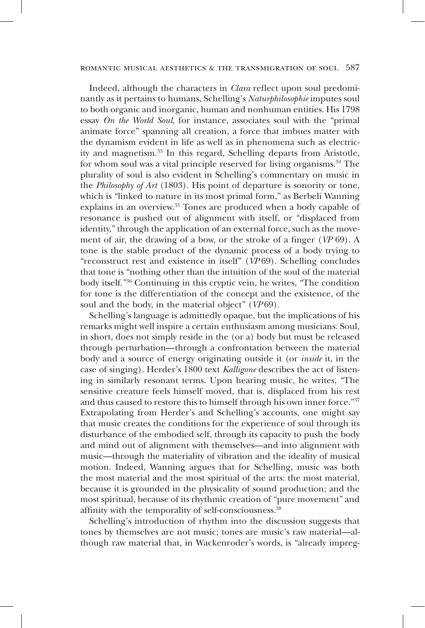Indeed, although the characters in *Clara* reflect upon soul predominantly as it pertains to humans, Schelling's *Naturphilosophie* imputes soul to both organic and inorganic, human and nonhuman entities. His 1798 essay *On the World Soul*, for instance, associates soul with the "primal animate force" spanning all creation, a force that imbues matter with the dynamism evident in life as well as in phenomena such as electricity and magnetism.33 In this regard, Schelling departs from Aristotle, for whom soul was a vital principle reserved for living organisms.<sup>34</sup> The plurality of soul is also evident in Schelling's commentary on music in the *Philosophy of Art* (1803). His point of departure is sonority or tone, which is "linked to nature in its most primal form," as Berbeli Wanning explains in an overview.<sup>35</sup> Tones are produced when a body capable of resonance is pushed out of alignment with itself, or "displaced from identity," through the application of an external force, such as the movement of air, the drawing of a bow, or the stroke of a finger (*VP* 69). A tone is the stable product of the dynamic process of a body trying to "reconstruct rest and existence in itself" (*VP* 69). Schelling concludes that tone is "nothing other than the intuition of the soul of the material body itself."36 Continuing in this cryptic vein, he writes, "The condition for tone is the differentiation of the concept and the existence, of the soul and the body, in the material object" (*VP* 69).

Schelling's language is admittedly opaque, but the implications of his remarks might well inspire a certain enthusiasm among musicians. Soul, in short, does not simply reside in the (or a) body but must be released through perturbation—through a confrontation between the material body and a source of energy originating outside it (or *inside* it, in the case of singing). Herder's 1800 text *Kalligone* describes the act of listening in similarly resonant terms. Upon hearing music, he writes, "The sensitive creature feels himself moved, that is, displaced from his rest and thus caused to restore this to himself through his own inner force."37 Extrapolating from Herder's and Schelling's accounts, one might say that music creates the conditions for the experience of soul through its disturbance of the embodied self, through its capacity to push the body and mind out of alignment with themselves—and into alignment with music—through the materiality of vibration and the ideality of musical motion. Indeed, Wanning argues that for Schelling, music was both the most material and the most spiritual of the arts: the most material, because it is grounded in the physicality of sound production; and the most spiritual, because of its rhythmic creation of "pure movement" and affinity with the temporality of self-consciousness.<sup>38</sup>

Schelling's introduction of rhythm into the discussion suggests that tones by themselves are not music; tones are music's raw material—although raw material that, in Wackenroder's words, is "already impreg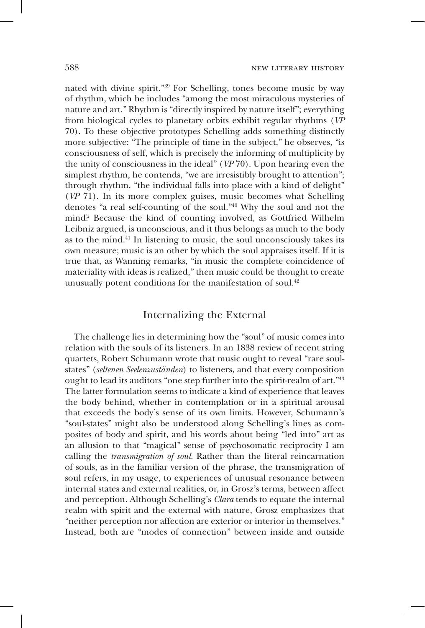nated with divine spirit."39 For Schelling, tones become music by way of rhythm, which he includes "among the most miraculous mysteries of nature and art." Rhythm is "directly inspired by nature itself"; everything from biological cycles to planetary orbits exhibit regular rhythms (*VP*  70). To these objective prototypes Schelling adds something distinctly more subjective: "The principle of time in the subject," he observes, "is consciousness of self, which is precisely the informing of multiplicity by the unity of consciousness in the ideal" (*VP* 70). Upon hearing even the simplest rhythm, he contends, "we are irresistibly brought to attention"; through rhythm, "the individual falls into place with a kind of delight" (*VP* 71). In its more complex guises, music becomes what Schelling denotes "a real self-counting of the soul."40 Why the soul and not the mind? Because the kind of counting involved, as Gottfried Wilhelm Leibniz argued, is unconscious, and it thus belongs as much to the body as to the mind.41 In listening to music, the soul unconsciously takes its own measure; music is an other by which the soul appraises itself. If it is true that, as Wanning remarks, "in music the complete coincidence of materiality with ideas is realized," then music could be thought to create unusually potent conditions for the manifestation of soul. $42$ 

### Internalizing the External

The challenge lies in determining how the "soul" of music comes into relation with the souls of its listeners. In an 1838 review of recent string quartets, Robert Schumann wrote that music ought to reveal "rare soulstates" (*seltenen Seelenzuständen*) to listeners, and that every composition ought to lead its auditors "one step further into the spirit-realm of art."43 The latter formulation seems to indicate a kind of experience that leaves the body behind, whether in contemplation or in a spiritual arousal that exceeds the body's sense of its own limits. However, Schumann's "soul-states" might also be understood along Schelling's lines as composites of body and spirit, and his words about being "led into" art as an allusion to that "magical" sense of psychosomatic reciprocity I am calling the *transmigration of soul*. Rather than the literal reincarnation of souls, as in the familiar version of the phrase, the transmigration of soul refers, in my usage, to experiences of unusual resonance between internal states and external realities, or, in Grosz's terms, between affect and perception. Although Schelling's *Clara* tends to equate the internal realm with spirit and the external with nature, Grosz emphasizes that "neither perception nor affection are exterior or interior in themselves." Instead, both are "modes of connection" between inside and outside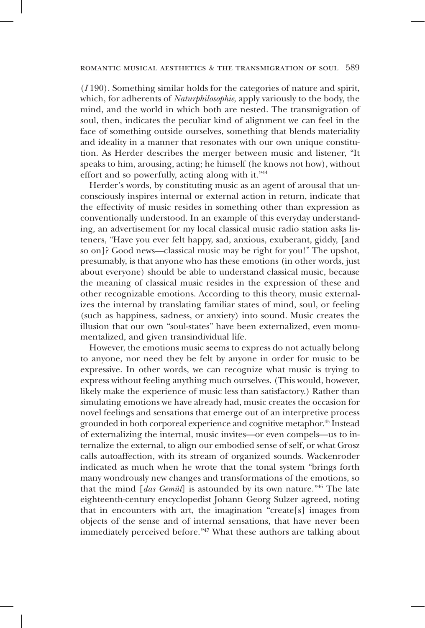(*I* 190). Something similar holds for the categories of nature and spirit, which, for adherents of *Naturphilosophie*, apply variously to the body, the mind, and the world in which both are nested. The transmigration of soul, then, indicates the peculiar kind of alignment we can feel in the face of something outside ourselves, something that blends materiality and ideality in a manner that resonates with our own unique constitution. As Herder describes the merger between music and listener, "It speaks to him, arousing, acting; he himself (he knows not how), without effort and so powerfully, acting along with it."44

Herder's words, by constituting music as an agent of arousal that unconsciously inspires internal or external action in return, indicate that the effectivity of music resides in something other than expression as conventionally understood. In an example of this everyday understanding, an advertisement for my local classical music radio station asks listeners, "Have you ever felt happy, sad, anxious, exuberant, giddy, [and so on]? Good news—classical music may be right for you!" The upshot, presumably, is that anyone who has these emotions (in other words, just about everyone) should be able to understand classical music, because the meaning of classical music resides in the expression of these and other recognizable emotions. According to this theory, music externalizes the internal by translating familiar states of mind, soul, or feeling (such as happiness, sadness, or anxiety) into sound. Music creates the illusion that our own "soul-states" have been externalized, even monumentalized, and given transindividual life.

However, the emotions music seems to express do not actually belong to anyone, nor need they be felt by anyone in order for music to be expressive. In other words, we can recognize what music is trying to express without feeling anything much ourselves. (This would, however, likely make the experience of music less than satisfactory.) Rather than simulating emotions we have already had, music creates the occasion for novel feelings and sensations that emerge out of an interpretive process grounded in both corporeal experience and cognitive metaphor.45 Instead of externalizing the internal, music invites—or even compels—us to internalize the external, to align our embodied sense of self, or what Grosz calls autoaffection, with its stream of organized sounds. Wackenroder indicated as much when he wrote that the tonal system "brings forth many wondrously new changes and transformations of the emotions, so that the mind [*das Gemüt*] is astounded by its own nature."46 The late eighteenth-century encyclopedist Johann Georg Sulzer agreed, noting that in encounters with art, the imagination "create[s] images from objects of the sense and of internal sensations, that have never been immediately perceived before."47 What these authors are talking about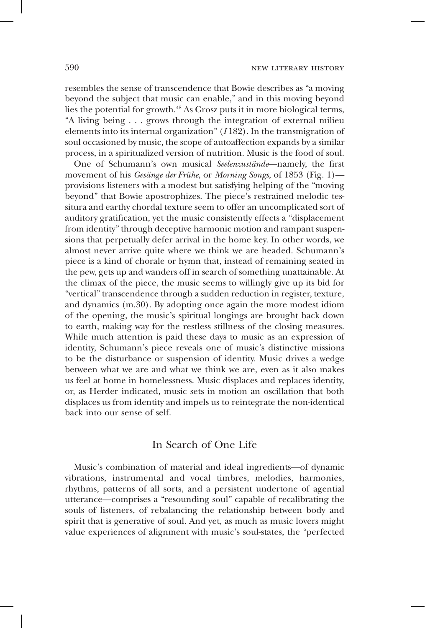resembles the sense of transcendence that Bowie describes as "a moving beyond the subject that music can enable," and in this moving beyond lies the potential for growth.48 As Grosz puts it in more biological terms, "A living being . . . grows through the integration of external milieu elements into its internal organization" (*I* 182). In the transmigration of soul occasioned by music, the scope of autoaffection expands by a similar process, in a spiritualized version of nutrition. Music is the food of soul.

One of Schumann's own musical *Seelenzustände*—namely, the first movement of his *Gesänge der Frühe*, or *Morning Songs*, of 1853 (Fig. 1) provisions listeners with a modest but satisfying helping of the "moving beyond" that Bowie apostrophizes. The piece's restrained melodic tessitura and earthy chordal texture seem to offer an uncomplicated sort of auditory gratification, yet the music consistently effects a "displacement from identity" through deceptive harmonic motion and rampant suspensions that perpetually defer arrival in the home key. In other words, we almost never arrive quite where we think we are headed. Schumann's piece is a kind of chorale or hymn that, instead of remaining seated in the pew, gets up and wanders off in search of something unattainable. At the climax of the piece, the music seems to willingly give up its bid for "vertical" transcendence through a sudden reduction in register, texture, and dynamics (m.30). By adopting once again the more modest idiom of the opening, the music's spiritual longings are brought back down to earth, making way for the restless stillness of the closing measures. While much attention is paid these days to music as an expression of identity, Schumann's piece reveals one of music's distinctive missions to be the disturbance or suspension of identity. Music drives a wedge between what we are and what we think we are, even as it also makes us feel at home in homelessness. Music displaces and replaces identity, or, as Herder indicated, music sets in motion an oscillation that both displaces us from identity and impels us to reintegrate the non-identical back into our sense of self.

### In Search of One Life

Music's combination of material and ideal ingredients—of dynamic vibrations, instrumental and vocal timbres, melodies, harmonies, rhythms, patterns of all sorts, and a persistent undertone of agential utterance—comprises a "resounding soul" capable of recalibrating the souls of listeners, of rebalancing the relationship between body and spirit that is generative of soul. And yet, as much as music lovers might value experiences of alignment with music's soul-states, the "perfected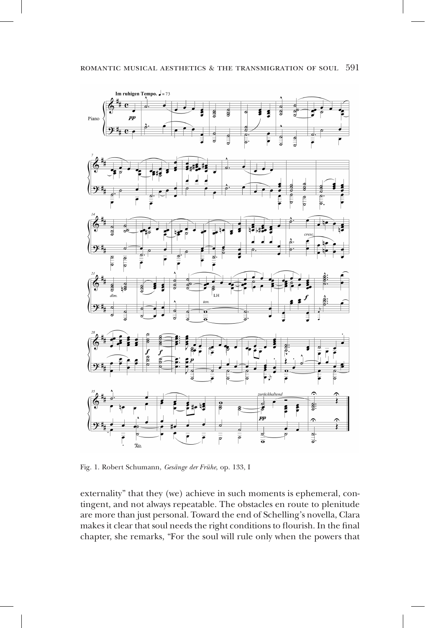

Fig. 1. Robert Schumann, *Gesänge der Frühe*, op. 133, I

externality" that they (we) achieve in such moments is ephemeral, contingent, and not always repeatable. The obstacles en route to plenitude are more than just personal. Toward the end of Schelling's novella, Clara makes it clear that soul needs the right conditions to flourish. In the final chapter, she remarks, "For the soul will rule only when the powers that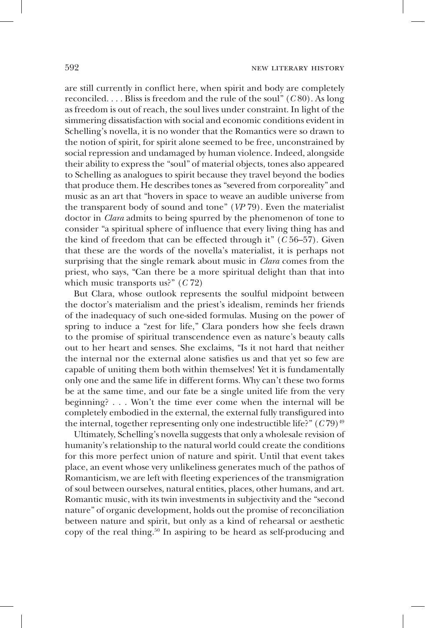are still currently in conflict here, when spirit and body are completely reconciled. . . . Bliss is freedom and the rule of the soul" (*C* 80). As long as freedom is out of reach, the soul lives under constraint. In light of the simmering dissatisfaction with social and economic conditions evident in Schelling's novella, it is no wonder that the Romantics were so drawn to the notion of spirit, for spirit alone seemed to be free, unconstrained by social repression and undamaged by human violence. Indeed, alongside their ability to express the "soul" of material objects, tones also appeared to Schelling as analogues to spirit because they travel beyond the bodies that produce them. He describes tones as "severed from corporeality" and music as an art that "hovers in space to weave an audible universe from the transparent body of sound and tone" (*VP* 79). Even the materialist doctor in *Clara* admits to being spurred by the phenomenon of tone to consider "a spiritual sphere of influence that every living thing has and the kind of freedom that can be effected through it" (*C* 56–57). Given that these are the words of the novella's materialist, it is perhaps not surprising that the single remark about music in *Clara* comes from the priest, who says, "Can there be a more spiritual delight than that into which music transports us?" (*C* 72)

But Clara, whose outlook represents the soulful midpoint between the doctor's materialism and the priest's idealism, reminds her friends of the inadequacy of such one-sided formulas. Musing on the power of spring to induce a "zest for life," Clara ponders how she feels drawn to the promise of spiritual transcendence even as nature's beauty calls out to her heart and senses. She exclaims, "Is it not hard that neither the internal nor the external alone satisfies us and that yet so few are capable of uniting them both within themselves! Yet it is fundamentally only one and the same life in different forms. Why can't these two forms be at the same time, and our fate be a single united life from the very beginning? . . . Won't the time ever come when the internal will be completely embodied in the external, the external fully transfigured into the internal, together representing only one indestructible life?"  $(C79)^{49}$ 

Ultimately, Schelling's novella suggests that only a wholesale revision of humanity's relationship to the natural world could create the conditions for this more perfect union of nature and spirit. Until that event takes place, an event whose very unlikeliness generates much of the pathos of Romanticism, we are left with fleeting experiences of the transmigration of soul between ourselves, natural entities, places, other humans, and art. Romantic music, with its twin investments in subjectivity and the "second nature" of organic development, holds out the promise of reconciliation between nature and spirit, but only as a kind of rehearsal or aesthetic copy of the real thing.<sup>50</sup> In aspiring to be heard as self-producing and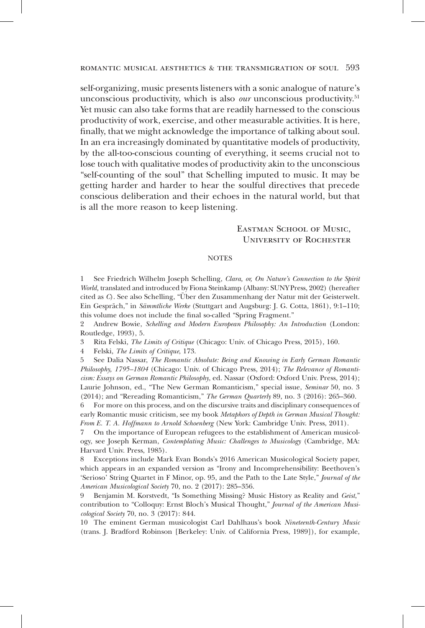self-organizing, music presents listeners with a sonic analogue of nature's unconscious productivity, which is also *our* unconscious productivity.<sup>51</sup> Yet music can also take forms that are readily harnessed to the conscious productivity of work, exercise, and other measurable activities. It is here, finally, that we might acknowledge the importance of talking about soul. In an era increasingly dominated by quantitative models of productivity, by the all-too-conscious counting of everything, it seems crucial not to lose touch with qualitative modes of productivity akin to the unconscious "self-counting of the soul" that Schelling imputed to music. It may be getting harder and harder to hear the soulful directives that precede conscious deliberation and their echoes in the natural world, but that is all the more reason to keep listening.

#### Eastman School of Music, University of Rochester

#### **NOTES**

1 See Friedrich Wilhelm Joseph Schelling, *Clara, or, On Nature's Connection to the Spirit World,* translated and introduced by Fiona Steinkamp (Albany: SUNY Press, 2002) (hereafter cited as *C*). See also Schelling, "Über den Zusammenhang der Natur mit der Geisterwelt. Ein Gespräch," in *Sämmtliche Werke* (Stuttgart and Augsburg: J. G. Cotta, 1861), 9:1–110; this volume does not include the final so-called "Spring Fragment."

2 Andrew Bowie, *Schelling and Modern European Philosophy: An Introduction* (London: Routledge, 1993), 5.

3 Rita Felski, *The Limits of Critique* (Chicago: Univ. of Chicago Press, 2015), 160.

4 Felski, *The Limits of Critique*, 173.

5 See Dalia Nassar, *The Romantic Absolute: Being and Knowing in Early German Romantic Philosophy, 1795–1804* (Chicago: Univ. of Chicago Press, 2014); *The Relevance of Romanticism: Essays on German Romantic Philosophy*, ed. Nassar (Oxford: Oxford Univ. Press, 2014); Laurie Johnson, ed., "The New German Romanticism," special issue, *Seminar* 50, no. 3 (2014); and "Rereading Romanticism," *The German Quarterly* 89, no. 3 (2016): 265–360.

6 For more on this process, and on the discursive traits and disciplinary consequences of early Romantic music criticism, see my book *Metaphors of Depth in German Musical Thought: From E. T. A. Hoffmann to Arnold Schoenberg* (New York: Cambridge Univ. Press, 2011).

7 On the importance of European refugees to the establishment of American musicology, see Joseph Kerman, *Contemplating Music: Challenges to Musicology* (Cambridge, MA: Harvard Univ. Press, 1985).

8 Exceptions include Mark Evan Bonds's 2016 American Musicological Society paper, which appears in an expanded version as "Irony and Incomprehensibility: Beethoven's 'Serioso' String Quartet in F Minor, op. 95, and the Path to the Late Style," *Journal of the American Musicological Society* 70, no. 2 (2017): 285–356.

9 Benjamin M. Korstvedt, "Is Something Missing? Music History as Reality and *Geist*," contribution to "Colloquy: Ernst Bloch's Musical Thought," *Journal of the American Musicological Society* 70, no. 3 (2017): 844.

10 The eminent German musicologist Carl Dahlhaus's book *Nineteenth-Century Music* (trans. J. Bradford Robinson [Berkeley: Univ. of California Press, 1989]), for example,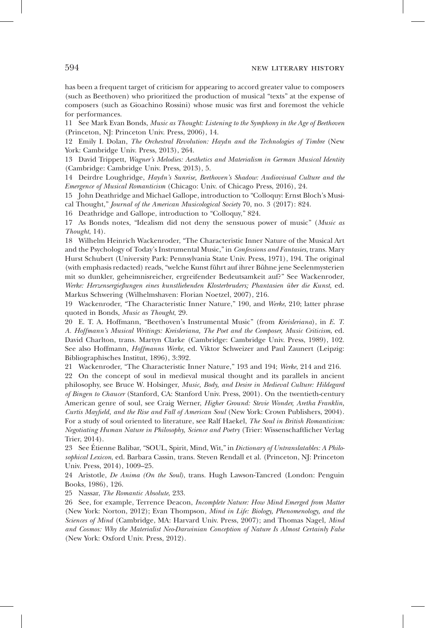has been a frequent target of criticism for appearing to accord greater value to composers (such as Beethoven) who prioritized the production of musical "texts" at the expense of composers (such as Gioachino Rossini) whose music was first and foremost the vehicle for performances.

11 See Mark Evan Bonds, *Music as Thought: Listening to the Symphony in the Age of Beethoven* (Princeton, NJ: Princeton Univ. Press, 2006), 14.

12 Emily I. Dolan, *The Orchestral Revolution: Haydn and the Technologies of Timbre* (New York: Cambridge Univ. Press, 2013), 264.

13 David Trippett, *Wagner's Melodies: Aesthetics and Materialism in German Musical Identity* (Cambridge: Cambridge Univ. Press, 2013), 5.

14 Deirdre Loughridge, *Haydn's Sunrise, Beethoven's Shadow: Audiovisual Culture and the Emergence of Musical Romanticism* (Chicago: Univ. of Chicago Press, 2016), 24.

15 John Deathridge and Michael Gallope, introduction to "Colloquy: Ernst Bloch's Musical Thought," *Journal of the American Musicological Society* 70, no. 3 (2017): 824.

16 Deathridge and Gallope, introduction to "Colloquy," 824.

17 As Bonds notes, "Idealism did not deny the sensuous power of music" (*Music as Thought*, 14).

18 Wilhelm Heinrich Wackenroder, "The Characteristic Inner Nature of the Musical Art and the Psychology of Today's Instrumental Music," in *Confessions and Fantasies*, trans. Mary Hurst Schubert (University Park: Pennsylvania State Univ. Press, 1971), 194. The original (with emphasis redacted) reads, "welche Kunst führt auf ihrer Bühne jene Seelenmysterien mit so dunkler, geheimnisreicher, ergreifender Bedeutsamkeit auf?" See Wackenroder, *Werke: Herzensergießungen eines kunstliebenden Klosterbruders; Phantasien über die Kunst*, ed. Markus Schwering (Wilhelmshaven: Florian Noetzel, 2007), 216.

19 Wackenroder, "The Characteristic Inner Nature," 190, and *Werke*, 210; latter phrase quoted in Bonds, *Music as Thought*, 29.

20 E. T. A. Hoffmann, "Beethoven's Instrumental Music" (from *Kreisleriana*), in *E. T. A. Hoffmann's Musical Writings: Kreisleriana, The Poet and the Composer, Music Criticism*, ed. David Charlton, trans. Martyn Clarke (Cambridge: Cambridge Univ. Press, 1989), 102. See also Hoffmann, *Hoffmanns Werke*, ed. Viktor Schweizer and Paul Zaunert (Leipzig: Bibliographisches Institut, 1896), 3:392.

21 Wackenroder, "The Characteristic Inner Nature," 193 and 194; *Werke*, 214 and 216. 22 On the concept of soul in medieval musical thought and its parallels in ancient philosophy, see Bruce W. Holsinger, *Music, Body, and Desire in Medieval Culture: Hildegard of Bingen to Chaucer* (Stanford, CA: Stanford Univ. Press, 2001). On the twentieth-century American genre of soul, see Craig Werner, *Higher Ground: Stevie Wonder, Aretha Franklin, Curtis Mayfield, and the Rise and Fall of American Soul* (New York: Crown Publishers, 2004). For a study of soul oriented to literature, see Ralf Haekel, *The Soul in British Romanticism: Negotiating Human Nature in Philosophy, Science and Poetry* (Trier: Wissenschaftlicher Verlag Trier, 2014).

23 See Étienne Balibar, "SOUL, Spirit, Mind, Wit," in *Dictionary of Untranslatables: A Philosophical Lexicon*, ed. Barbara Cassin, trans. Steven Rendall et al. (Princeton, NJ: Princeton Univ. Press, 2014), 1009–25.

24 Aristotle, *De Anima (On the Soul)*, trans. Hugh Lawson-Tancred (London: Penguin Books, 1986), 126.

25 Nassar, *The Romantic Absolute*, 233.

26 See, for example, Terrence Deacon, *Incomplete Nature: How Mind Emerged from Matter*  (New York: Norton, 2012); Evan Thompson, *Mind in Life: Biology, Phenomenology, and the Sciences of Mind* (Cambridge, MA: Harvard Univ. Press, 2007); and Thomas Nagel, *Mind and Cosmos: Why the Materialist Neo-Darwinian Conception of Nature Is Almost Certainly False* (New York: Oxford Univ. Press, 2012).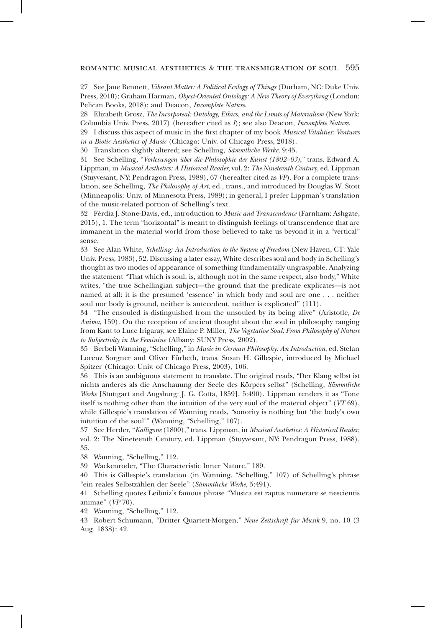#### romantic musical aesthetics & the transmigration of soul 595

27 See Jane Bennett, *Vibrant Matter: A Political Ecology of Things* (Durham, NC: Duke Univ. Press, 2010); Graham Harman, *Object-Oriented Ontology: A New Theory of Everything* (London: Pelican Books, 2018); and Deacon, *Incomplete Nature*.

28 Elizabeth Grosz, *The Incorporeal: Ontology, Ethics, and the Limits of Materialism* (New York: Columbia Univ. Press, 2017) (hereafter cited as *I*); see also Deacon, *Incomplete Nature*.

29 I discuss this aspect of music in the first chapter of my book *Musical Vitalities: Ventures in a Biotic Aesthetics of Music* (Chicago: Univ. of Chicago Press, 2018).

30 Translation slightly altered; see Schelling, *Sämmtliche Werke*, 9:45.

31 See Schelling, "*Vorlesungen über die Philosophie der Kunst (1802–03)*," trans. Edward A. Lippman, in *Musical Aesthetics: A Historical Reader*, vol. 2: *The Nineteenth Century*, ed. Lippman (Stuyvesant, NY: Pendragon Press, 1988), 67 (hereafter cited as *VP*). For a complete translation, see Schelling, *The Philosophy of Art*, ed., trans., and introduced by Douglas W. Stott (Minneapolis: Univ. of Minnesota Press, 1989); in general, I prefer Lippman's translation of the music-related portion of Schelling's text.

32 Férdia J. Stone-Davis, ed., introduction to *Music and Transcendence* (Farnham: Ashgate, 2015), 1. The term "horizontal" is meant to distinguish feelings of transcendence that are immanent in the material world from those believed to take us beyond it in a "vertical" sense.

33 See Alan White, *Schelling: An Introduction to the System of Freedom* (New Haven, CT: Yale Univ. Press, 1983), 52. Discussing a later essay, White describes soul and body in Schelling's thought as two modes of appearance of something fundamentally ungraspable. Analyzing the statement "That which is soul, is, although not in the same respect, also body," White writes, "the true Schellingian subject—the ground that the predicate explicates—is not named at all: it is the presumed 'essence' in which body and soul are one . . . neither soul nor body is ground, neither is antecedent, neither is explicated" (111).

34 "The ensouled is distinguished from the unsouled by its being alive" (Aristotle, *De Anima*, 159). On the reception of ancient thought about the soul in philosophy ranging from Kant to Luce Irigaray, see Elaine P. Miller, *The Vegetative Soul: From Philosophy of Nature to Subjectivity in the Feminine* (Albany: SUNY Press, 2002).

35 Berbeli Wanning, "Schelling," in *Music in German Philosophy: An Introduction*, ed. Stefan Lorenz Sorgner and Oliver Fürbeth, trans. Susan H. Gillespie, introduced by Michael Spitzer (Chicago: Univ. of Chicago Press, 2003), 106.

36 This is an ambiguous statement to translate. The original reads, "Der Klang selbst ist nichts anderes als die Anschauung der Seele des Körpers selbst" (Schelling, *Sämmtliche Werke* [Stuttgart and Augsburg: J. G. Cotta, 1859], 5:490). Lippman renders it as "Tone itself is nothing other than the intuition of the very soul of the material object" (*VT* 69), while Gillespie's translation of Wanning reads, "sonority is nothing but 'the body's own intuition of the soul'" (Wanning, "Schelling," 107).

37 See Herder, "*Kalligone* (1800)," trans. Lippman, in *Musical Aesthetics: A Historical Reader*, vol. 2: The Nineteenth Century, ed. Lippman (Stuyvesant, NY: Pendragon Press, 1988), 35.

38 Wanning, "Schelling," 112.

39 Wackenroder, "The Characteristic Inner Nature," 189.

40 This is Gillespie's translation (in Wanning, "Schelling," 107) of Schelling's phrase "ein reales Selbstzählen der Seele" (*Sämmtliche Werke*, 5:491).

41 Schelling quotes Leibniz's famous phrase "Musica est raptus numerare se nescientis animae" (*VP* 70).

42 Wanning, "Schelling," 112.

43 Robert Schumann, "Dritter Quartett-Morgen," *Neue Zeitschrift für Musik* 9, no. 10 (3 Aug. 1838): 42.